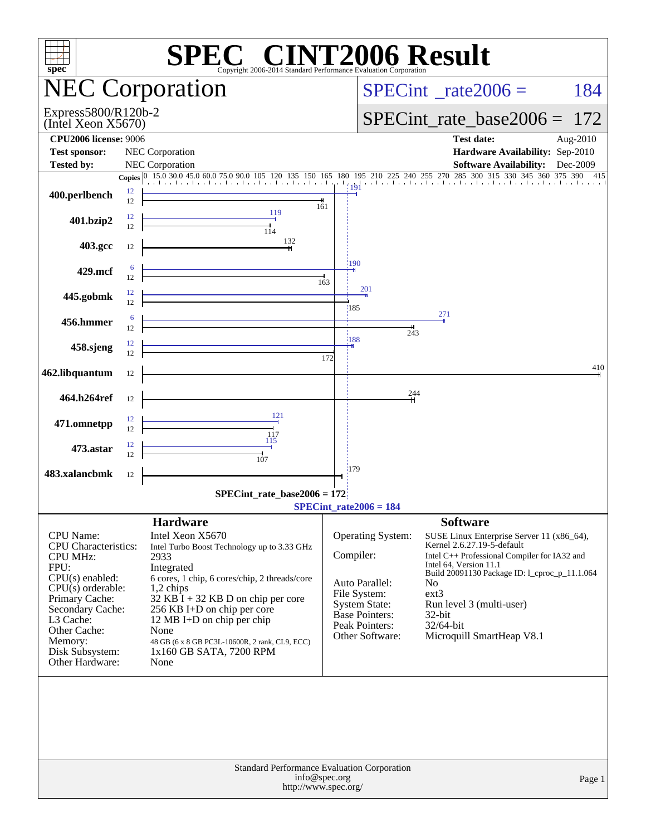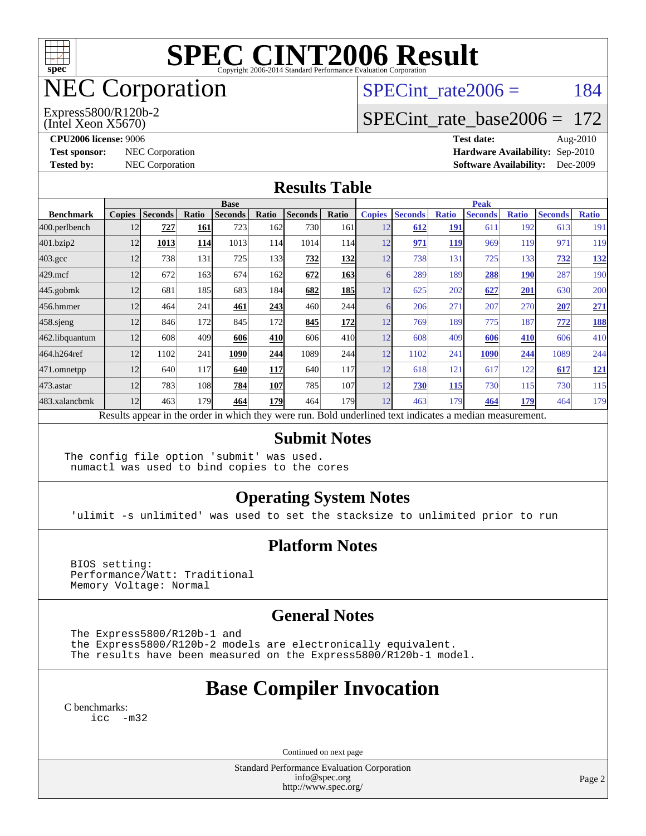

# NEC Corporation

(Intel Xeon X5670) Express5800/R120b-2 SPECint rate $2006 = 184$ 

## [SPECint\\_rate\\_base2006 =](http://www.spec.org/auto/cpu2006/Docs/result-fields.html#SPECintratebase2006) 172

**[CPU2006 license:](http://www.spec.org/auto/cpu2006/Docs/result-fields.html#CPU2006license)** 9006 **[Test date:](http://www.spec.org/auto/cpu2006/Docs/result-fields.html#Testdate)** Aug-2010 **[Test sponsor:](http://www.spec.org/auto/cpu2006/Docs/result-fields.html#Testsponsor)** NEC Corporation **NEC Corporation [Hardware Availability:](http://www.spec.org/auto/cpu2006/Docs/result-fields.html#HardwareAvailability)** Sep-2010 **[Tested by:](http://www.spec.org/auto/cpu2006/Docs/result-fields.html#Testedby)** NEC Corporation **[Software Availability:](http://www.spec.org/auto/cpu2006/Docs/result-fields.html#SoftwareAvailability)** Dec-2009

#### **[Results Table](http://www.spec.org/auto/cpu2006/Docs/result-fields.html#ResultsTable)**

|                    | <b>Base</b>   |                |       |                                                                                                          |       |                |                  | <b>Peak</b>   |                |              |                |              |                |              |
|--------------------|---------------|----------------|-------|----------------------------------------------------------------------------------------------------------|-------|----------------|------------------|---------------|----------------|--------------|----------------|--------------|----------------|--------------|
| <b>Benchmark</b>   | <b>Copies</b> | <b>Seconds</b> | Ratio | <b>Seconds</b>                                                                                           | Ratio | <b>Seconds</b> | Ratio            | <b>Copies</b> | <b>Seconds</b> | <b>Ratio</b> | <b>Seconds</b> | <b>Ratio</b> | <b>Seconds</b> | <b>Ratio</b> |
| 400.perlbench      | 12            | 727            | 161   | 723                                                                                                      | 162   | 730            | 161              | 12            | 612            | <b>191</b>   | 611            | 192          | 613            | 191          |
| 401.bzip2          | 12            | 1013           | 114   | 1013                                                                                                     | 114   | 1014           | 114I             | 12            | 971            | <b>119</b>   | 969            | 119          | 971            | 119          |
| $403.\mathrm{gcc}$ | 12            | 738            | 131   | 725                                                                                                      | 133   | 732            | 132              | 12            | 738            | 131          | 725            | 133          | 732            | <u>132</u>   |
| $429$ .mcf         | 12            | 672            | 163   | 674                                                                                                      | 162   | 672            | <b>163</b>       | 6             | 289            | 189          | 288            | <b>190</b>   | 287            | 190          |
| $445$ .gobmk       | 12            | 681            | 185   | 683                                                                                                      | 184   | 682            | <b>185</b>       | 12            | 625            | 202          | 627            | 201          | 630            | 200          |
| 456.hmmer          | 12            | 464            | 241   | 461                                                                                                      | 243   | 460            | 244              | 6             | 206            | 271          | 207            | 270          | 207            | <u>271</u>   |
| $458$ .sjeng       | 12            | 846            | 172   | 845                                                                                                      | 172   | 845            | <b>172</b>       | 12            | 769            | 189          | 775            | 187          | 772            | <b>188</b>   |
| 462.libquantum     | 12            | 608            | 409   | 606                                                                                                      | 410   | 606            | 41 <sub>0</sub>  | 12            | 608            | 409          | 606            | 410          | 606            | 410          |
| 464.h264ref        | 12            | 1102           | 241   | 1090                                                                                                     | 244   | 1089           | 244              | 12            | 1102           | 241          | 1090           | 244          | 1089           | 244          |
| 471.omnetpp        | 12            | 640            | 117   | 640                                                                                                      | 117   | 640            | <b>117</b>       | 12            | 618            | 121          | 617            | 122          | 617            | <u>121</u>   |
| 473.astar          | 12            | 783            | 108   | 784                                                                                                      | 107   | 785            | 107              | 12            | 730            | 115          | 730            | 115          | 730            | 115          |
| 483.xalancbmk      | 12            | 463            | 179   | 464                                                                                                      | 179I  | 464            | 179 <sub>l</sub> | 12            | 463            | 179          | 464            | 179          | 464            | 179          |
|                    |               |                |       | Results appear in the order in which they were run. Bold underlined text indicates a median measurement. |       |                |                  |               |                |              |                |              |                |              |

#### **[Submit Notes](http://www.spec.org/auto/cpu2006/Docs/result-fields.html#SubmitNotes)**

The config file option 'submit' was used. numactl was used to bind copies to the cores

#### **[Operating System Notes](http://www.spec.org/auto/cpu2006/Docs/result-fields.html#OperatingSystemNotes)**

'ulimit -s unlimited' was used to set the stacksize to unlimited prior to run

#### **[Platform Notes](http://www.spec.org/auto/cpu2006/Docs/result-fields.html#PlatformNotes)**

 BIOS setting: Performance/Watt: Traditional Memory Voltage: Normal

#### **[General Notes](http://www.spec.org/auto/cpu2006/Docs/result-fields.html#GeneralNotes)**

The Express5800/R120b-1 and

 the Express5800/R120b-2 models are electronically equivalent. The results have been measured on the Express5800/R120b-1 model.

# **[Base Compiler Invocation](http://www.spec.org/auto/cpu2006/Docs/result-fields.html#BaseCompilerInvocation)**

[C benchmarks](http://www.spec.org/auto/cpu2006/Docs/result-fields.html#Cbenchmarks): [icc -m32](http://www.spec.org/cpu2006/results/res2010q3/cpu2006-20100813-12906.flags.html#user_CCbase_intel_icc_32bit_5ff4a39e364c98233615fdd38438c6f2)

Continued on next page

Standard Performance Evaluation Corporation [info@spec.org](mailto:info@spec.org) <http://www.spec.org/>

Page 2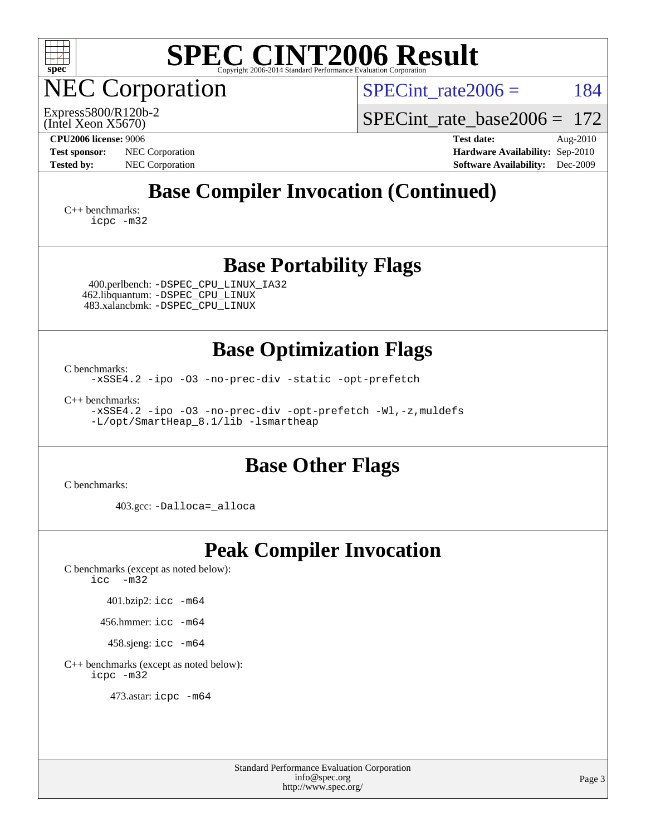

NEC Corporation

SPECint rate $2006 = 184$ 

(Intel Xeon X5670) Express5800/R120b-2 SPECint rate base  $2006 = 172$ 

**[CPU2006 license:](http://www.spec.org/auto/cpu2006/Docs/result-fields.html#CPU2006license)** 9006 **[Test date:](http://www.spec.org/auto/cpu2006/Docs/result-fields.html#Testdate)** Aug-2010 **[Test sponsor:](http://www.spec.org/auto/cpu2006/Docs/result-fields.html#Testsponsor)** NEC Corporation **NEC Corporation [Hardware Availability:](http://www.spec.org/auto/cpu2006/Docs/result-fields.html#HardwareAvailability)** Sep-2010 **[Tested by:](http://www.spec.org/auto/cpu2006/Docs/result-fields.html#Testedby)** NEC Corporation **[Software Availability:](http://www.spec.org/auto/cpu2006/Docs/result-fields.html#SoftwareAvailability)** Dec-2009

# **[Base Compiler Invocation \(Continued\)](http://www.spec.org/auto/cpu2006/Docs/result-fields.html#BaseCompilerInvocation)**

[C++ benchmarks:](http://www.spec.org/auto/cpu2006/Docs/result-fields.html#CXXbenchmarks) [icpc -m32](http://www.spec.org/cpu2006/results/res2010q3/cpu2006-20100813-12906.flags.html#user_CXXbase_intel_icpc_32bit_4e5a5ef1a53fd332b3c49e69c3330699)

### **[Base Portability Flags](http://www.spec.org/auto/cpu2006/Docs/result-fields.html#BasePortabilityFlags)**

 400.perlbench: [-DSPEC\\_CPU\\_LINUX\\_IA32](http://www.spec.org/cpu2006/results/res2010q3/cpu2006-20100813-12906.flags.html#b400.perlbench_baseCPORTABILITY_DSPEC_CPU_LINUX_IA32) 462.libquantum: [-DSPEC\\_CPU\\_LINUX](http://www.spec.org/cpu2006/results/res2010q3/cpu2006-20100813-12906.flags.html#b462.libquantum_baseCPORTABILITY_DSPEC_CPU_LINUX) 483.xalancbmk: [-DSPEC\\_CPU\\_LINUX](http://www.spec.org/cpu2006/results/res2010q3/cpu2006-20100813-12906.flags.html#b483.xalancbmk_baseCXXPORTABILITY_DSPEC_CPU_LINUX)

### **[Base Optimization Flags](http://www.spec.org/auto/cpu2006/Docs/result-fields.html#BaseOptimizationFlags)**

[C benchmarks](http://www.spec.org/auto/cpu2006/Docs/result-fields.html#Cbenchmarks):

[-xSSE4.2](http://www.spec.org/cpu2006/results/res2010q3/cpu2006-20100813-12906.flags.html#user_CCbase_f-xSSE42_f91528193cf0b216347adb8b939d4107) [-ipo](http://www.spec.org/cpu2006/results/res2010q3/cpu2006-20100813-12906.flags.html#user_CCbase_f-ipo) [-O3](http://www.spec.org/cpu2006/results/res2010q3/cpu2006-20100813-12906.flags.html#user_CCbase_f-O3) [-no-prec-div](http://www.spec.org/cpu2006/results/res2010q3/cpu2006-20100813-12906.flags.html#user_CCbase_f-no-prec-div) [-static](http://www.spec.org/cpu2006/results/res2010q3/cpu2006-20100813-12906.flags.html#user_CCbase_f-static) [-opt-prefetch](http://www.spec.org/cpu2006/results/res2010q3/cpu2006-20100813-12906.flags.html#user_CCbase_f-opt-prefetch)

[C++ benchmarks:](http://www.spec.org/auto/cpu2006/Docs/result-fields.html#CXXbenchmarks) [-xSSE4.2](http://www.spec.org/cpu2006/results/res2010q3/cpu2006-20100813-12906.flags.html#user_CXXbase_f-xSSE42_f91528193cf0b216347adb8b939d4107) [-ipo](http://www.spec.org/cpu2006/results/res2010q3/cpu2006-20100813-12906.flags.html#user_CXXbase_f-ipo) [-O3](http://www.spec.org/cpu2006/results/res2010q3/cpu2006-20100813-12906.flags.html#user_CXXbase_f-O3) [-no-prec-div](http://www.spec.org/cpu2006/results/res2010q3/cpu2006-20100813-12906.flags.html#user_CXXbase_f-no-prec-div) [-opt-prefetch](http://www.spec.org/cpu2006/results/res2010q3/cpu2006-20100813-12906.flags.html#user_CXXbase_f-opt-prefetch) [-Wl,-z,muldefs](http://www.spec.org/cpu2006/results/res2010q3/cpu2006-20100813-12906.flags.html#user_CXXbase_link_force_multiple1_74079c344b956b9658436fd1b6dd3a8a) [-L/opt/SmartHeap\\_8.1/lib -lsmartheap](http://www.spec.org/cpu2006/results/res2010q3/cpu2006-20100813-12906.flags.html#user_CXXbase_SmartHeap_d5ba4dfc9de25d3c657c7de7476e66c5)

### **[Base Other Flags](http://www.spec.org/auto/cpu2006/Docs/result-fields.html#BaseOtherFlags)**

[C benchmarks](http://www.spec.org/auto/cpu2006/Docs/result-fields.html#Cbenchmarks):

403.gcc: [-Dalloca=\\_alloca](http://www.spec.org/cpu2006/results/res2010q3/cpu2006-20100813-12906.flags.html#b403.gcc_baseEXTRA_CFLAGS_Dalloca_be3056838c12de2578596ca5467af7f3)

# **[Peak Compiler Invocation](http://www.spec.org/auto/cpu2006/Docs/result-fields.html#PeakCompilerInvocation)**

[C benchmarks \(except as noted below\)](http://www.spec.org/auto/cpu2006/Docs/result-fields.html#Cbenchmarksexceptasnotedbelow): [icc -m32](http://www.spec.org/cpu2006/results/res2010q3/cpu2006-20100813-12906.flags.html#user_CCpeak_intel_icc_32bit_5ff4a39e364c98233615fdd38438c6f2)

401.bzip2: [icc -m64](http://www.spec.org/cpu2006/results/res2010q3/cpu2006-20100813-12906.flags.html#user_peakCCLD401_bzip2_intel_icc_64bit_bda6cc9af1fdbb0edc3795bac97ada53)

456.hmmer: [icc -m64](http://www.spec.org/cpu2006/results/res2010q3/cpu2006-20100813-12906.flags.html#user_peakCCLD456_hmmer_intel_icc_64bit_bda6cc9af1fdbb0edc3795bac97ada53)

458.sjeng: [icc -m64](http://www.spec.org/cpu2006/results/res2010q3/cpu2006-20100813-12906.flags.html#user_peakCCLD458_sjeng_intel_icc_64bit_bda6cc9af1fdbb0edc3795bac97ada53)

[C++ benchmarks \(except as noted below\):](http://www.spec.org/auto/cpu2006/Docs/result-fields.html#CXXbenchmarksexceptasnotedbelow) [icpc -m32](http://www.spec.org/cpu2006/results/res2010q3/cpu2006-20100813-12906.flags.html#user_CXXpeak_intel_icpc_32bit_4e5a5ef1a53fd332b3c49e69c3330699)

473.astar: [icpc -m64](http://www.spec.org/cpu2006/results/res2010q3/cpu2006-20100813-12906.flags.html#user_peakCXXLD473_astar_intel_icpc_64bit_fc66a5337ce925472a5c54ad6a0de310)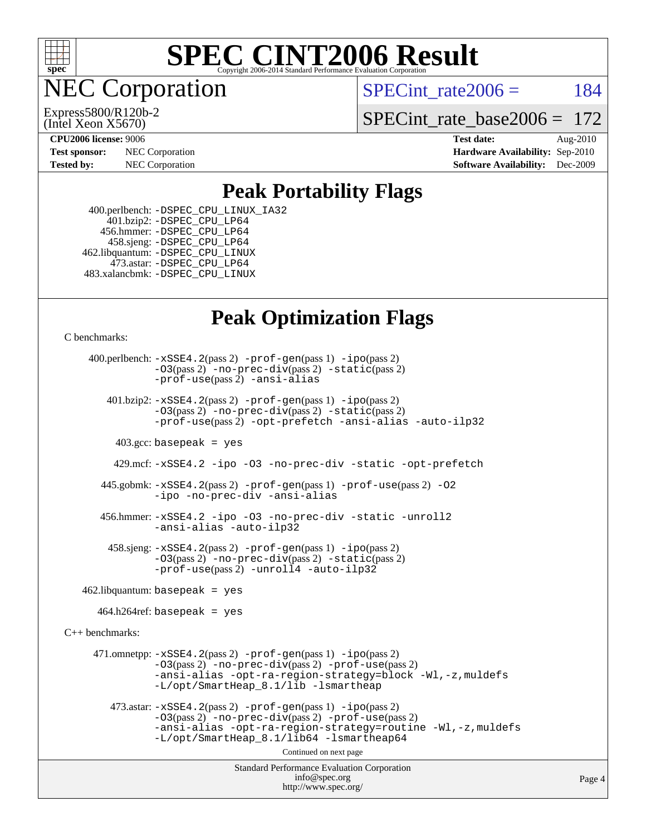

**EC Corporation** 

(Intel Xeon X5670) Express5800/R120b-2 SPECint rate $2006 = 184$ 

[SPECint\\_rate\\_base2006 =](http://www.spec.org/auto/cpu2006/Docs/result-fields.html#SPECintratebase2006) 172

**[CPU2006 license:](http://www.spec.org/auto/cpu2006/Docs/result-fields.html#CPU2006license)** 9006 **[Test date:](http://www.spec.org/auto/cpu2006/Docs/result-fields.html#Testdate)** Aug-2010 **[Test sponsor:](http://www.spec.org/auto/cpu2006/Docs/result-fields.html#Testsponsor)** NEC Corporation **NEC Corporation [Hardware Availability:](http://www.spec.org/auto/cpu2006/Docs/result-fields.html#HardwareAvailability)** Sep-2010 **[Tested by:](http://www.spec.org/auto/cpu2006/Docs/result-fields.html#Testedby)** NEC Corporation **[Software Availability:](http://www.spec.org/auto/cpu2006/Docs/result-fields.html#SoftwareAvailability)** Dec-2009

### **[Peak Portability Flags](http://www.spec.org/auto/cpu2006/Docs/result-fields.html#PeakPortabilityFlags)**

 400.perlbench: [-DSPEC\\_CPU\\_LINUX\\_IA32](http://www.spec.org/cpu2006/results/res2010q3/cpu2006-20100813-12906.flags.html#b400.perlbench_peakCPORTABILITY_DSPEC_CPU_LINUX_IA32) 401.bzip2: [-DSPEC\\_CPU\\_LP64](http://www.spec.org/cpu2006/results/res2010q3/cpu2006-20100813-12906.flags.html#suite_peakCPORTABILITY401_bzip2_DSPEC_CPU_LP64) 456.hmmer: [-DSPEC\\_CPU\\_LP64](http://www.spec.org/cpu2006/results/res2010q3/cpu2006-20100813-12906.flags.html#suite_peakCPORTABILITY456_hmmer_DSPEC_CPU_LP64) 458.sjeng: [-DSPEC\\_CPU\\_LP64](http://www.spec.org/cpu2006/results/res2010q3/cpu2006-20100813-12906.flags.html#suite_peakCPORTABILITY458_sjeng_DSPEC_CPU_LP64) 462.libquantum: [-DSPEC\\_CPU\\_LINUX](http://www.spec.org/cpu2006/results/res2010q3/cpu2006-20100813-12906.flags.html#b462.libquantum_peakCPORTABILITY_DSPEC_CPU_LINUX) 473.astar: [-DSPEC\\_CPU\\_LP64](http://www.spec.org/cpu2006/results/res2010q3/cpu2006-20100813-12906.flags.html#suite_peakCXXPORTABILITY473_astar_DSPEC_CPU_LP64) 483.xalancbmk: [-DSPEC\\_CPU\\_LINUX](http://www.spec.org/cpu2006/results/res2010q3/cpu2006-20100813-12906.flags.html#b483.xalancbmk_peakCXXPORTABILITY_DSPEC_CPU_LINUX)

## **[Peak Optimization Flags](http://www.spec.org/auto/cpu2006/Docs/result-fields.html#PeakOptimizationFlags)**

[C benchmarks](http://www.spec.org/auto/cpu2006/Docs/result-fields.html#Cbenchmarks):

```
Standard Performance Evaluation Corporation
                                          info@spec.org
                                        http://www.spec.org/
     400.perlbench: -xSSE4.2(pass 2) -prof-gen(pass 1) -ipo(pass 2)
                -O3(pass 2) -no-prec-div(pass 2) -static(pass 2)
                -prof-use(pass 2) -ansi-alias
        401.bzip2: -xSSE4.2(pass 2) -prof-gen(pass 1) -ipo(pass 2)
                 -O3(pass 2) -no-prec-div(pass 2) -static(pass 2)
                 -prof-use(pass 2) -opt-prefetch -ansi-alias -auto-ilp32
         403.\text{gcc: basepeak} = yes
          429.mcf: -xSSE4.2 -ipo -O3 -no-prec-div -static -opt-prefetch
       445.gobmk: -xSSE4.2(pass 2) -prof-gen(pass 1) -prof-use(pass 2) -O2
                 -ipo -no-prec-div -ansi-alias
       456.hmmer: -xSSE4.2 -ipo -O3 -no-prec-div -static -unroll2
                -ansi-alias -auto-ilp32
         458.sjeng: -xSSE4.2(pass 2) -prof-gen(pass 1) -ipo(pass 2)
                -O3(pass 2) -no-prec-div(pass 2) -static(pass 2)
                -prof-use(pass 2) -unroll4 -auto-ilp32
   462.libquantum: basepeak = yes
      464.h264ref: basepeak = yes
C++ benchmarks: 
      471.omnetpp: -xSSE4.2(pass 2) -prof-gen(pass 1) -ipo(pass 2)
                -O3(pass 2) -no-prec-div(pass 2) -prof-use(pass 2)
                -ansi-alias -opt-ra-region-strategy=block -Wl,-z,muldefs
                 -L/opt/SmartHeap_8.1/lib -lsmartheap
         473.astar: -xSSE4.2(pass 2) -prof-gen(pass 1) -ipo(pass 2)
                -O3(pass 2) -no-prec-div(pass 2) -prof-use(pass 2)
                -ansi-alias -opt-ra-region-strategy=routine -Wl,-z,muldefs
                -L/opt/SmartHeap_8.1/lib64 -lsmartheap64
                                        Continued on next page
```